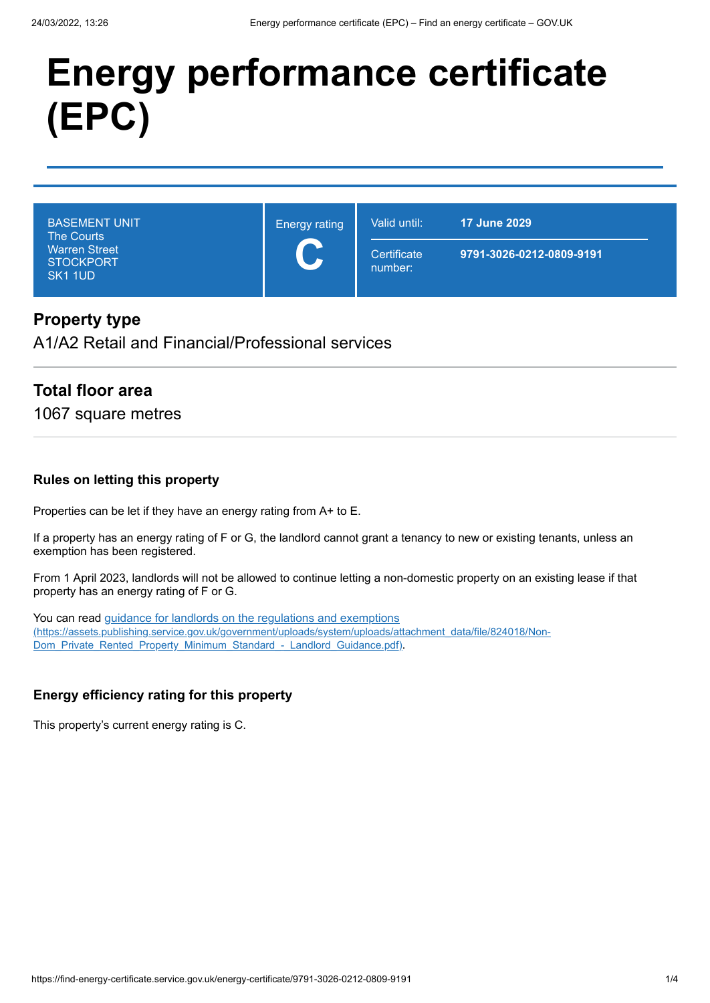# **Energy performance certificate (EPC)**

| <b>BASEMENT UNIT</b> |
|----------------------|
| <b>The Courts</b>    |
| <b>Warren Street</b> |
| <b>STOCKPORT</b>     |
| SK <sub>1</sub> 1UD  |

Energy rating **C**

**Certificate** number:

Valid until: **17 June 2029**

**9791-3026-0212-0809-9191**

# **Property type**

A1/A2 Retail and Financial/Professional services

# **Total floor area**

1067 square metres

#### **Rules on letting this property**

Properties can be let if they have an energy rating from A+ to E.

If a property has an energy rating of F or G, the landlord cannot grant a tenancy to new or existing tenants, unless an exemption has been registered.

From 1 April 2023, landlords will not be allowed to continue letting a non-domestic property on an existing lease if that property has an energy rating of F or G.

You can read guidance for landlords on the regulations and exemptions [\(https://assets.publishing.service.gov.uk/government/uploads/system/uploads/attachment\\_data/file/824018/Non-](https://assets.publishing.service.gov.uk/government/uploads/system/uploads/attachment_data/file/824018/Non-Dom_Private_Rented_Property_Minimum_Standard_-_Landlord_Guidance.pdf)Dom\_Private\_Rented\_Property\_Minimum\_Standard\_-\_Landlord\_Guidance.pdf).

#### **Energy efficiency rating for this property**

This property's current energy rating is C.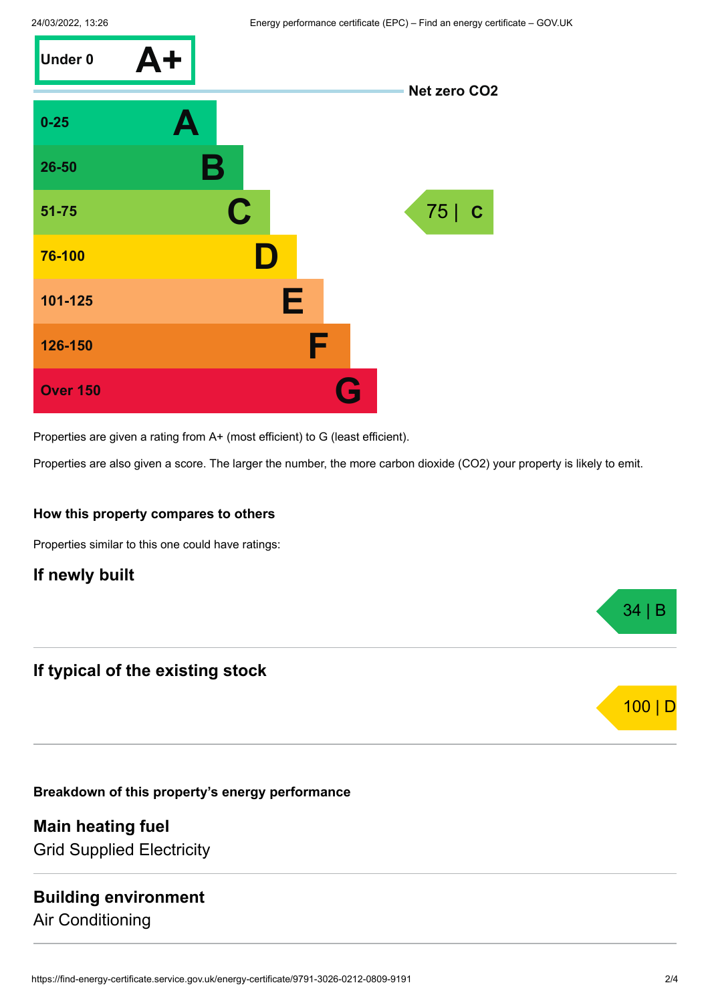

Properties are given a rating from A+ (most efficient) to G (least efficient).

Properties are also given a score. The larger the number, the more carbon dioxide (CO2) your property is likely to emit.

#### **How this property compares to others**

Properties similar to this one could have ratings:

## **If newly built**

# **If typical of the existing stock**

**Breakdown of this property's energy performance**

**Main heating fuel** Grid Supplied Electricity

# **Building environment**

Air Conditioning

34 | B

100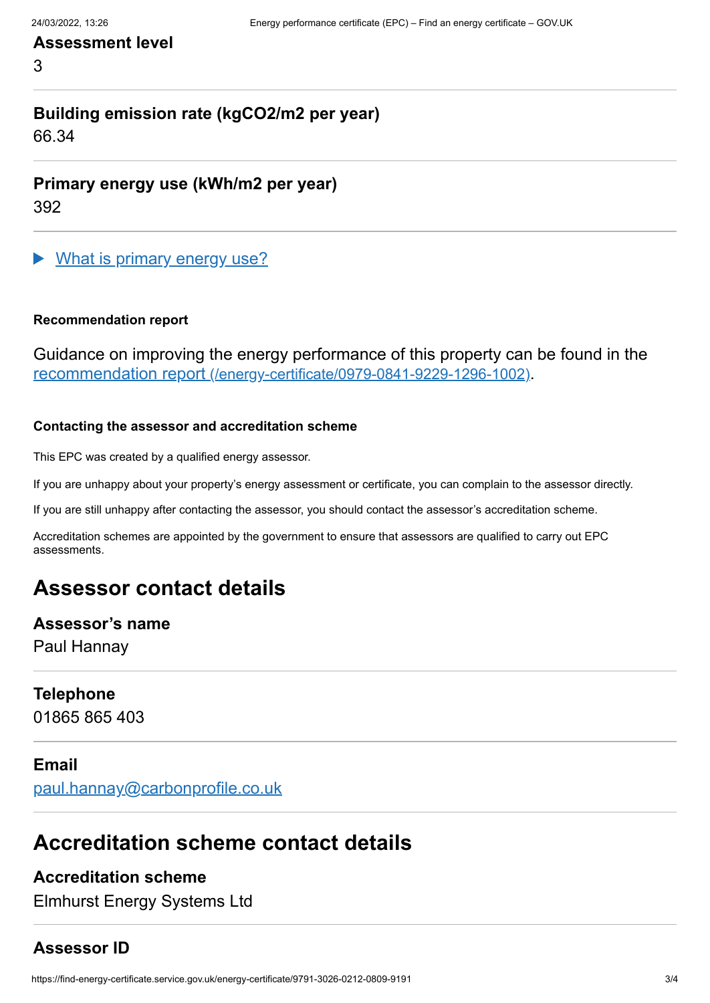# **Assessment level**

3

# **Building emission rate (kgCO2/m2 per year)**

66.34

**Primary energy use (kWh/m2 per year)**

392

What is primary energy use?

#### **Recommendation report**

Guidance on improving the energy performance of this property can be found in the recommendation report [\(/energy-certificate/0979-0841-9229-1296-1002\)](https://find-energy-certificate.service.gov.uk/energy-certificate/0979-0841-9229-1296-1002).

#### **Contacting the assessor and accreditation scheme**

This EPC was created by a qualified energy assessor.

If you are unhappy about your property's energy assessment or certificate, you can complain to the assessor directly.

If you are still unhappy after contacting the assessor, you should contact the assessor's accreditation scheme.

Accreditation schemes are appointed by the government to ensure that assessors are qualified to carry out EPC assessments.

# **Assessor contact details**

#### **Assessor's name**

Paul Hannay

#### **Telephone**

01865 865 403

#### **Email**

[paul.hannay@carbonprofile.co.uk](mailto:paul.hannay@carbonprofile.co.uk)

# **Accreditation scheme contact details**

## **Accreditation scheme**

Elmhurst Energy Systems Ltd

## **Assessor ID**